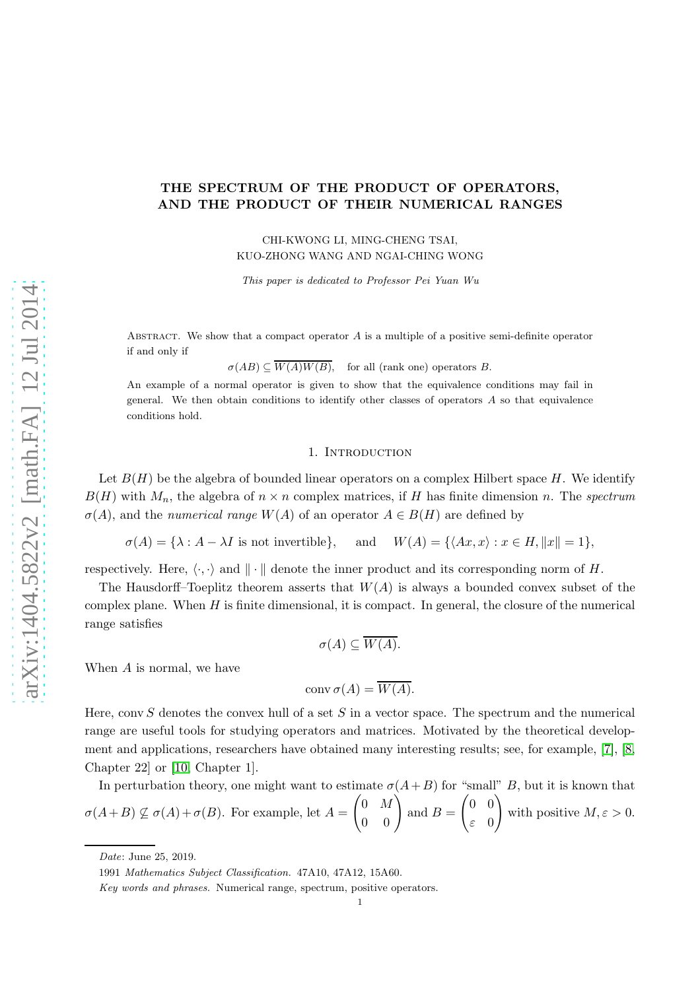# THE SPECTRUM OF THE PRODUCT OF OPERATORS, AND THE PRODUCT OF THEIR NUMERICAL RANGES

CHI-KWONG LI, MING-CHENG TSAI, KUO-ZHONG WANG AND NGAI-CHING WONG

This paper is dedicated to Professor Pei Yuan Wu

ABSTRACT. We show that a compact operator  $A$  is a multiple of a positive semi-definite operator if and only if

 $\sigma(AB) \subseteq \overline{W(A)W(B)}$ , for all (rank one) operators B.

An example of a normal operator is given to show that the equivalence conditions may fail in general. We then obtain conditions to identify other classes of operators  $A$  so that equivalence conditions hold.

#### 1. INTRODUCTION

Let  $B(H)$  be the algebra of bounded linear operators on a complex Hilbert space H. We identify  $B(H)$  with  $M_n$ , the algebra of  $n \times n$  complex matrices, if H has finite dimension n. The spectrum  $\sigma(A)$ , and the *numerical range*  $W(A)$  of an operator  $A \in B(H)$  are defined by

 $\sigma(A) = \{\lambda : A - \lambda I \text{ is not invertible}\}, \text{ and } W(A) = \{\langle Ax, x \rangle : x \in H, ||x|| = 1\},\$ 

respectively. Here,  $\langle \cdot, \cdot \rangle$  and  $\| \cdot \|$  denote the inner product and its corresponding norm of H.

The Hausdorff–Toeplitz theorem asserts that  $W(A)$  is always a bounded convex subset of the complex plane. When  $H$  is finite dimensional, it is compact. In general, the closure of the numerical range satisfies

$$
\sigma(A) \subseteq \overline{W(A)}.
$$

When A is normal, we have

$$
conv \sigma(A) = W(A).
$$

Here, conv  $S$  denotes the convex hull of a set  $S$  in a vector space. The spectrum and the numerical range are useful tools for studying operators and matrices. Motivated by the theoretical development and applications, researchers have obtained many interesting results; see, for example, [\[7\]](#page-10-0), [\[8,](#page-10-1) Chapter 22] or [\[10,](#page-10-2) Chapter 1].

In perturbation theory, one might want to estimate  $\sigma(A+B)$  for "small" B, but it is known that  $\sigma(A+B) \nsubseteq \sigma(A)+\sigma(B)$ . For example, let  $A=$  $\begin{pmatrix} 0 & M \\ 0 & 0 \end{pmatrix}$ and  $B =$  $\begin{pmatrix} 0 & 0 \end{pmatrix}$ ε 0  $\setminus$ with positive  $M, \varepsilon > 0$ .

Date: June 25, 2019.

<sup>1991</sup> Mathematics Subject Classification. 47A10, 47A12, 15A60.

Key words and phrases. Numerical range, spectrum, positive operators.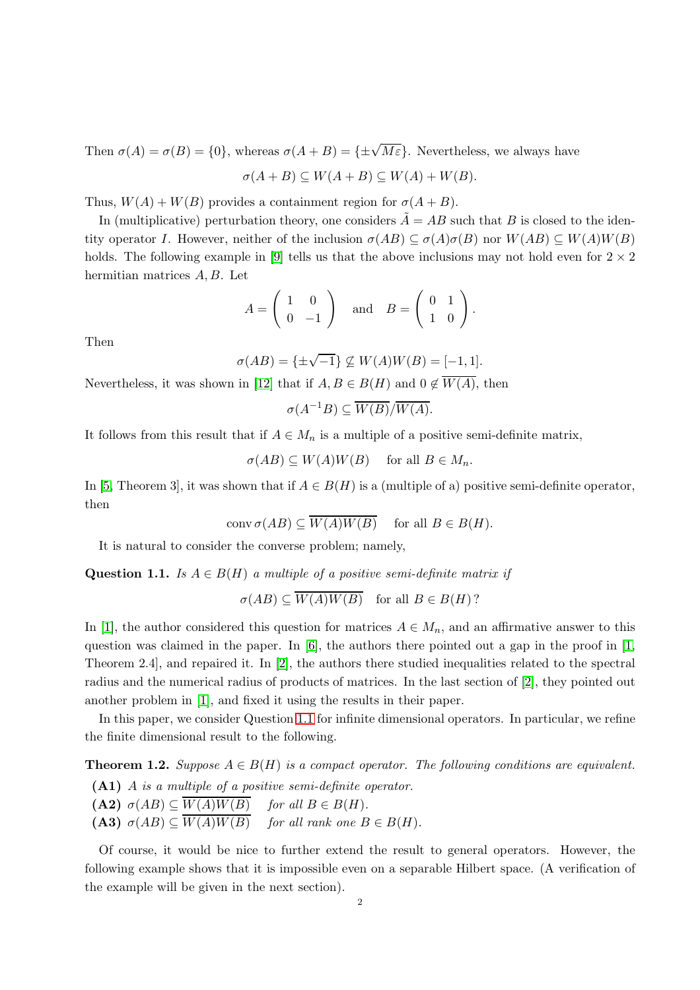Then  $\sigma(A) = \sigma(B) = \{0\}$ , whereas  $\sigma(A + B) = \{\pm \sqrt{M\varepsilon}\}\.$  Nevertheless, we always have

$$
\sigma(A+B) \subseteq W(A+B) \subseteq W(A) + W(B).
$$

Thus,  $W(A) + W(B)$  provides a containment region for  $\sigma(A + B)$ .

In (multiplicative) perturbation theory, one considers  $\tilde{A} = AB$  such that B is closed to the identity operator I. However, neither of the inclusion  $\sigma(AB) \subset \sigma(A)\sigma(B)$  nor  $W(AB) \subset W(A)W(B)$ holds. The following example in [\[9\]](#page-10-3) tells us that the above inclusions may not hold even for  $2 \times 2$ hermitian matrices A, B. Let

$$
A = \left(\begin{array}{cc} 1 & 0 \\ 0 & -1 \end{array}\right) \quad \text{and} \quad B = \left(\begin{array}{cc} 0 & 1 \\ 1 & 0 \end{array}\right).
$$

Then

$$
\sigma(AB) = \{\pm\sqrt{-1}\} \not\subseteq W(A)W(B) = [-1, 1].
$$

Nevertheless, it was shown in [\[12\]](#page-10-4) that if  $A, B \in B(H)$  and  $0 \notin \overline{W(A)}$ , then

$$
\sigma(A^{-1}B) \subseteq \overline{W(B)}/\overline{W(A)}.
$$

It follows from this result that if  $A \in M_n$  is a multiple of a positive semi-definite matrix,

$$
\sigma(AB) \subseteq W(A)W(B) \quad \text{ for all } B \in M_n.
$$

In [\[5,](#page-10-5) Theorem 3], it was shown that if  $A \in B(H)$  is a (multiple of a) positive semi-definite operator, then

$$
conv \sigma(AB) \subseteq W(A)W(B) \quad \text{ for all } B \in B(H).
$$

It is natural to consider the converse problem; namely,

<span id="page-1-0"></span>Question 1.1. Is  $A \in B(H)$  a multiple of a positive semi-definite matrix if

 $\sigma(AB) \subset \overline{W(A)W(B)}$  for all  $B \in B(H)$ ?

In [\[1\]](#page-10-6), the author considered this question for matrices  $A \in M_n$ , and an affirmative answer to this question was claimed in the paper. In  $[6]$ , the authors there pointed out a gap in the proof in  $[1]$ , Theorem 2.4], and repaired it. In [\[2\]](#page-10-8), the authors there studied inequalities related to the spectral radius and the numerical radius of products of matrices. In the last section of [\[2\]](#page-10-8), they pointed out another problem in [\[1\]](#page-10-6), and fixed it using the results in their paper.

In this paper, we consider Question [1.1](#page-1-0) for infinite dimensional operators. In particular, we refine the finite dimensional result to the following.

<span id="page-1-1"></span>**Theorem 1.2.** Suppose  $A \in B(H)$  is a compact operator. The following conditions are equivalent.

(A1) A is a multiple of a positive semi-definite operator.

- $(A2)$   $\sigma(AB) \subseteq \overline{W(A)W(B)}$  for all  $B \in B(H)$ .
- (A3)  $\sigma(AB) \subseteq \overline{W(A)W(B)}$  for all rank one  $B \in B(H)$ .

Of course, it would be nice to further extend the result to general operators. However, the following example shows that it is impossible even on a separable Hilbert space. (A verification of the example will be given in the next section).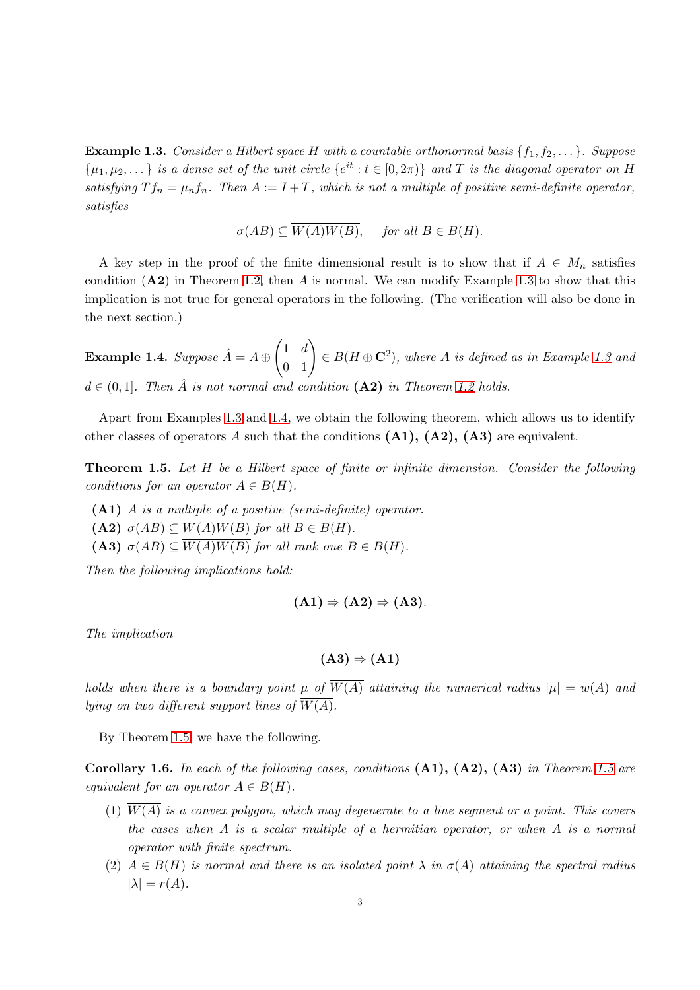<span id="page-2-0"></span>**Example 1.3.** Consider a Hilbert space H with a countable orthonormal basis  $\{f_1, f_2, \ldots\}$ . Suppose  $\{\mu_1, \mu_2, \dots\}$  is a dense set of the unit circle  $\{e^{it} : t \in [0, 2\pi)\}\$  and T is the diagonal operator on H satisfying  $T f_n = \mu_n f_n$ . Then  $A := I + T$ , which is not a multiple of positive semi-definite operator, satisfies

$$
\sigma(AB) \subseteq \overline{W(A)W(B)}, \quad \text{ for all } B \in B(H).
$$

A key step in the proof of the finite dimensional result is to show that if  $A \in M_n$  satisfies condition  $(A2)$  in Theorem [1.2,](#page-1-1) then A is normal. We can modify Example [1.3](#page-2-0) to show that this implication is not true for general operators in the following. (The verification will also be done in the next section.)

<span id="page-2-1"></span>**Example 1.4.** Suppose  $\hat{A} = A \oplus \begin{pmatrix} 1 & d \ 0 & 1 \end{pmatrix} \in B(H \oplus \mathbf{C}^2)$ , where A is defined as in Example [1.3](#page-2-0) and  $d \in (0,1]$ . Then  $\hat{A}$  is not normal and condition  $(A2)$  in Theorem [1.2](#page-1-1) holds.

Apart from Examples [1.3](#page-2-0) and [1.4,](#page-2-1) we obtain the following theorem, which allows us to identify other classes of operators A such that the conditions  $(A1)$ ,  $(A2)$ ,  $(A3)$  are equivalent.

<span id="page-2-2"></span>Theorem 1.5. Let H be a Hilbert space of finite or infinite dimension. Consider the following conditions for an operator  $A \in B(H)$ .

- (A1) A is a multiple of a positive (semi-definite) operator.
- (A2)  $\sigma(AB) \subseteq \overline{W(A)W(B)}$  for all  $B \in B(H)$ .
- (A3)  $\sigma(AB) \subseteq \overline{W(A)W(B)}$  for all rank one  $B \in B(H)$ .

Then the following implications hold:

$$
(\mathbf{A1}) \Rightarrow (\mathbf{A2}) \Rightarrow (\mathbf{A3}).
$$

The implication

$$
\text{(A3)}\Rightarrow\text{(A1)}
$$

holds when there is a boundary point  $\mu$  of  $\overline{W(A)}$  attaining the numerical radius  $|\mu| = w(A)$  and lying on two different support lines of  $\overline{W(A)}$ .

By Theorem [1.5,](#page-2-2) we have the following.

<span id="page-2-3"></span>Corollary 1.6. In each of the following cases, conditions  $(A1)$ ,  $(A2)$ ,  $(A3)$  in Theorem [1.5](#page-2-2) are equivalent for an operator  $A \in B(H)$ .

- (1)  $\overline{W(A)}$  is a convex polygon, which may degenerate to a line segment or a point. This covers the cases when A is a scalar multiple of a hermitian operator, or when A is a normal operator with finite spectrum.
- (2)  $A \in B(H)$  is normal and there is an isolated point  $\lambda$  in  $\sigma(A)$  attaining the spectral radius  $|\lambda| = r(A).$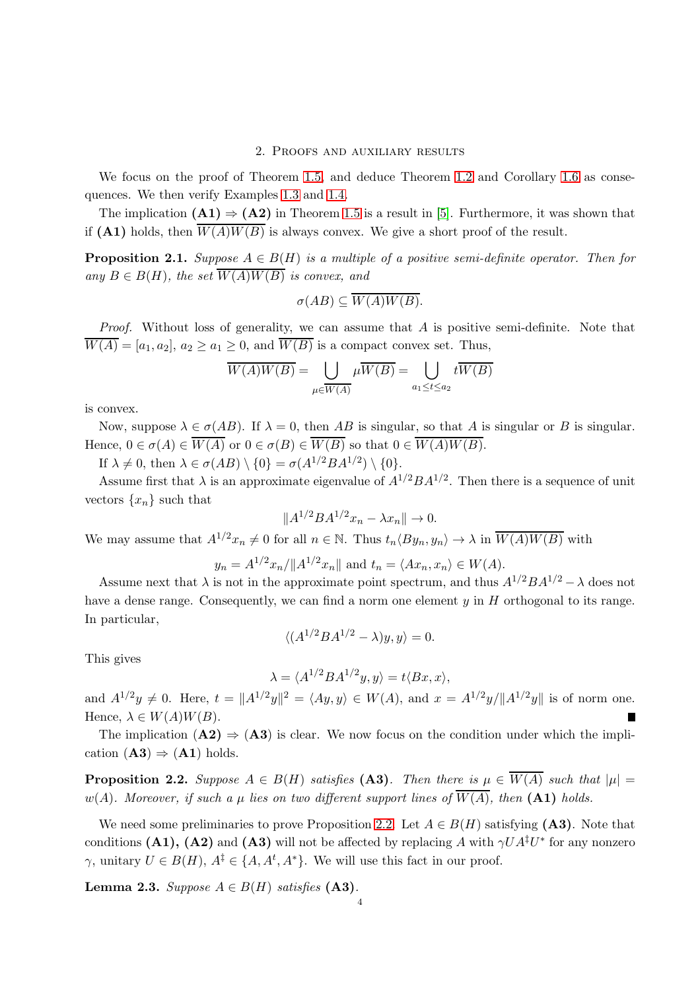### 2. Proofs and auxiliary results

We focus on the proof of Theorem [1.5,](#page-2-2) and deduce Theorem [1.2](#page-1-1) and Corollary [1.6](#page-2-3) as consequences. We then verify Examples [1.3](#page-2-0) and [1.4.](#page-2-1)

The implication  $(A1) \Rightarrow (A2)$  in Theorem [1.5](#page-2-2) is a result in [\[5\]](#page-10-5). Furthermore, it was shown that if (A1) holds, then  $\overline{W(A)W(B)}$  is always convex. We give a short proof of the result.

**Proposition 2.1.** Suppose  $A \in B(H)$  is a multiple of a positive semi-definite operator. Then for any  $B \in B(H)$ , the set  $\overline{W(A)W(B)}$  is convex, and

$$
\sigma(AB) \subseteq \overline{W(A)W(B)}.
$$

Proof. Without loss of generality, we can assume that A is positive semi-definite. Note that  $\overline{W(A)} = [a_1, a_2], a_2 \ge a_1 \ge 0$ , and  $\overline{W(B)}$  is a compact convex set. Thus,

$$
\overline{W(A)W(B)} = \bigcup_{\mu \in \overline{W(A)}} \mu \overline{W(B)} = \bigcup_{a_1 \le t \le a_2} t \overline{W(B)}
$$

is convex.

Now, suppose  $\lambda \in \sigma(AB)$ . If  $\lambda = 0$ , then AB is singular, so that A is singular or B is singular. Hence,  $0 \in \sigma(A) \in \overline{W(A)}$  or  $0 \in \sigma(B) \in \overline{W(B)}$  so that  $0 \in \overline{W(A)W(B)}$ .

If  $\lambda \neq 0$ , then  $\lambda \in \sigma(AB) \setminus \{0\} = \sigma(A^{1/2}BA^{1/2}) \setminus \{0\}.$ 

Assume first that  $\lambda$  is an approximate eigenvalue of  $A^{1/2}BA^{1/2}$ . Then there is a sequence of unit vectors  $\{x_n\}$  such that

$$
||A^{1/2}BA^{1/2}x_n - \lambda x_n|| \to 0.
$$

We may assume that  $A^{1/2}x_n \neq 0$  for all  $n \in \mathbb{N}$ . Thus  $t_n \langle By_n, y_n \rangle \to \lambda$  in  $\overline{W(A)W(B)}$  with

$$
y_n = A^{1/2}x_n/||A^{1/2}x_n||
$$
 and  $t_n = \langle Ax_n, x_n \rangle \in W(A)$ .

Assume next that  $\lambda$  is not in the approximate point spectrum, and thus  $A^{1/2}BA^{1/2} - \lambda$  does not have a dense range. Consequently, we can find a norm one element  $\eta$  in H orthogonal to its range. In particular,

$$
\langle (A^{1/2}BA^{1/2} - \lambda)y, y \rangle = 0.
$$

This gives

$$
\lambda = \langle A^{1/2}BA^{1/2}y, y \rangle = t \langle Bx, x \rangle,
$$

and  $A^{1/2}y \neq 0$ . Here,  $t = ||A^{1/2}y||^2 = \langle Ay, y \rangle \in W(A)$ , and  $x = A^{1/2}y/||A^{1/2}y||$  is of norm one. Hence,  $\lambda \in W(A)W(B)$ .

The implication  $(A2) \Rightarrow (A3)$  is clear. We now focus on the condition under which the implication  $(A3) \Rightarrow (A1)$  holds.

<span id="page-3-0"></span>**Proposition 2.2.** Suppose  $A \in B(H)$  satisfies (A3). Then there is  $\mu \in \overline{W(A)}$  such that  $|\mu| =$ w(A). Moreover, if such a  $\mu$  lies on two different support lines of  $\overline{W(A)}$ , then (A1) holds.

We need some preliminaries to prove Proposition [2.2.](#page-3-0) Let  $A \in B(H)$  satisfying (A3). Note that conditions (A1), (A2) and (A3) will not be affected by replacing A with  $\gamma UA^{\ddagger}U^*$  for any nonzero  $\gamma$ , unitary  $U \in B(H)$ ,  $A^{\ddagger} \in \{A, A^t, A^*\}$ . We will use this fact in our proof.

<span id="page-3-1"></span>Lemma 2.3. Suppose  $A \in B(H)$  satisfies (A3).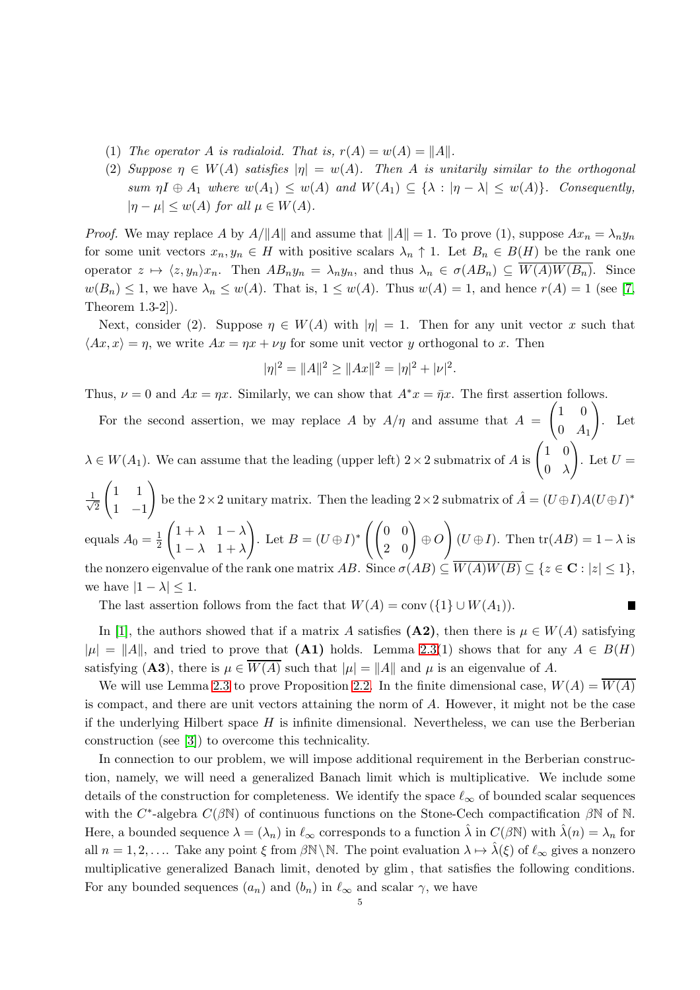- (1) The operator A is radialoid. That is,  $r(A) = w(A) = ||A||$ .
- (2) Suppose  $\eta \in W(A)$  satisfies  $|\eta| = w(A)$ . Then A is unitarily similar to the orthogonal sum  $\eta I \oplus A_1$  where  $w(A_1) \leq w(A)$  and  $W(A_1) \subseteq {\lambda : |\eta - \lambda| \leq w(A)}$ . Consequently,  $|\eta - \mu| \leq w(A)$  for all  $\mu \in W(A)$ .

*Proof.* We may replace A by  $A/\|A\|$  and assume that  $\|A\|=1$ . To prove (1), suppose  $Ax_n = \lambda_n y_n$ for some unit vectors  $x_n, y_n \in H$  with positive scalars  $\lambda_n \uparrow 1$ . Let  $B_n \in B(H)$  be the rank one operator  $z \mapsto \langle z, y_n \rangle x_n$ . Then  $AB_ny_n = \lambda_n y_n$ , and thus  $\lambda_n \in \sigma(AB_n) \subseteq \overline{W(A)W(B_n)}$ . Since  $w(B_n) \leq 1$ , we have  $\lambda_n \leq w(A)$ . That is,  $1 \leq w(A)$ . Thus  $w(A) = 1$ , and hence  $r(A) = 1$  (see [\[7,](#page-10-0) Theorem 1.3-2]).

Next, consider (2). Suppose  $\eta \in W(A)$  with  $|\eta| = 1$ . Then for any unit vector x such that  $\langle Ax, x \rangle = \eta$ , we write  $Ax = \eta x + \nu y$  for some unit vector y orthogonal to x. Then

$$
|\eta|^2 = ||A||^2 \ge ||Ax||^2 = |\eta|^2 + |\nu|^2.
$$

Thus,  $\nu = 0$  and  $Ax = \eta x$ . Similarly, we can show that  $A^*x = \overline{\eta}x$ . The first assertion follows.

For the second assertion, we may replace A by  $A/\eta$  and assume that  $A =$  $\begin{pmatrix} 1 & 0 \end{pmatrix}$  $0 \quad A_1$  $\setminus$ . Let  $\lambda \in W(A_1)$ . We can assume that the leading (upper left)  $2 \times 2$  submatrix of A is  $\begin{pmatrix} 1 & 0 \\ 0 & \lambda \end{pmatrix}$  $0 \lambda$  $\setminus$ . Let  $U =$ √ 1 2  $\begin{pmatrix} 1 & 1 \end{pmatrix}$  $1 -1$ be the 2×2 unitary matrix. Then the leading 2×2 submatrix of  $\hat{A} = (U \oplus I)A(U \oplus I)^*$ equals  $A_0 = \frac{1}{2}$ 2  $\begin{pmatrix} 1 + \lambda & 1 - \lambda \end{pmatrix}$  $1 - \lambda \quad 1 + \lambda$  $\setminus$ . Let  $B=(U\oplus I)^*\left(\begin{pmatrix} 0&0\ 2&0 \end{pmatrix} \oplus O\right)$  $\setminus$  $(U \oplus I)$ . Then tr $(AB) = 1 - \lambda$  is

the nonzero eigenvalue of the rank one matrix AB. Since  $\sigma(AB) \subseteq \overline{W(A)W(B)} \subseteq \{z \in \mathbf{C} : |z| \leq 1\}$ , we have  $|1 - \lambda| \leq 1$ .

 $\blacksquare$ 

The last assertion follows from the fact that  $W(A) = \text{conv}(\{1\} \cup W(A_1)).$ 

In [\[1\]](#page-10-6), the authors showed that if a matrix A satisfies (A2), then there is  $\mu \in W(A)$  satisfying  $|\mu| = ||A||$ , and tried to prove that (A1) holds. Lemma [2.3\(](#page-3-1)1) shows that for any  $A \in B(H)$ satisfying (A3), there is  $\mu \in \overline{W(A)}$  such that  $|\mu| = ||A||$  and  $\mu$  is an eigenvalue of A.

We will use Lemma [2.3](#page-3-1) to prove Proposition [2.2.](#page-3-0) In the finite dimensional case,  $W(A) = W(A)$ is compact, and there are unit vectors attaining the norm of A. However, it might not be the case if the underlying Hilbert space  $H$  is infinite dimensional. Nevertheless, we can use the Berberian construction (see [\[3\]](#page-10-9)) to overcome this technicality.

In connection to our problem, we will impose additional requirement in the Berberian construction, namely, we will need a generalized Banach limit which is multiplicative. We include some details of the construction for completeness. We identify the space  $\ell_{\infty}$  of bounded scalar sequences with the C<sup>\*</sup>-algebra  $C(\beta \mathbb{N})$  of continuous functions on the Stone-Cech compactification  $\beta \mathbb{N}$  of  $\mathbb{N}$ . Here, a bounded sequence  $\lambda = (\lambda_n)$  in  $\ell_\infty$  corresponds to a function  $\hat{\lambda}$  in  $C(\beta \mathbb{N})$  with  $\hat{\lambda}(n) = \lambda_n$  for all  $n = 1, 2, \ldots$  Take any point  $\xi$  from  $\beta \mathbb{N} \setminus \mathbb{N}$ . The point evaluation  $\lambda \mapsto \lambda(\xi)$  of  $\ell_{\infty}$  gives a nonzero multiplicative generalized Banach limit, denoted by glim , that satisfies the following conditions. For any bounded sequences  $(a_n)$  and  $(b_n)$  in  $\ell_{\infty}$  and scalar  $\gamma$ , we have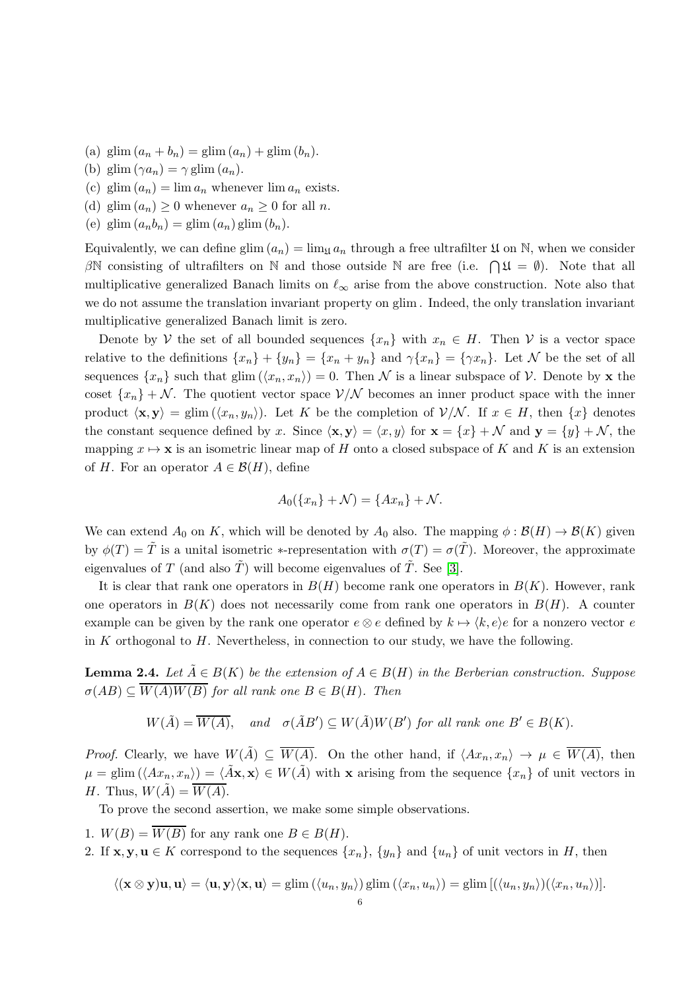- (a) glim  $(a_n + b_n) =$  glim  $(a_n) +$  glim  $(b_n)$ .
- (b) glim  $(\gamma a_n) = \gamma$  glim  $(a_n)$ .
- (c) glim  $(a_n) = \lim a_n$  whenever  $\lim a_n$  exists.
- (d) glim  $(a_n) \geq 0$  whenever  $a_n \geq 0$  for all n.
- (e) glim  $(a_n b_n) =$  glim  $(a_n)$  glim  $(b_n)$ .

Equivalently, we can define glim  $(a_n) = \lim_{\mathfrak{U}} a_n$  through a free ultrafilter  $\mathfrak{U}$  on N, when we consider  $\beta\mathbb{N}$  consisting of ultrafilters on  $\mathbb N$  and those outside  $\mathbb N$  are free (i.e.  $\bigcap \mathfrak{U} = \emptyset$ ). Note that all multiplicative generalized Banach limits on  $\ell_{\infty}$  arise from the above construction. Note also that we do not assume the translation invariant property on glim . Indeed, the only translation invariant multiplicative generalized Banach limit is zero.

Denote by V the set of all bounded sequences  $\{x_n\}$  with  $x_n \in H$ . Then V is a vector space relative to the definitions  $\{x_n\} + \{y_n\} = \{x_n + y_n\}$  and  $\gamma\{x_n\} = \{\gamma x_n\}$ . Let N be the set of all sequences  $\{x_n\}$  such that glim  $(\langle x_n, x_n \rangle) = 0$ . Then N is a linear subspace of V. Denote by **x** the coset  $\{x_n\} + \mathcal{N}$ . The quotient vector space  $\mathcal{V}/\mathcal{N}$  becomes an inner product space with the inner product  $\langle x, y \rangle = \text{glim}(\langle x_n, y_n \rangle)$ . Let K be the completion of  $V/N$ . If  $x \in H$ , then  $\{x\}$  denotes the constant sequence defined by x. Since  $\langle \mathbf{x}, \mathbf{y} \rangle = \langle x, y \rangle$  for  $\mathbf{x} = \{x\} + \mathcal{N}$  and  $\mathbf{y} = \{y\} + \mathcal{N}$ , the mapping  $x \mapsto x$  is an isometric linear map of H onto a closed subspace of K and K is an extension of H. For an operator  $A \in \mathcal{B}(H)$ , define

$$
A_0({x_n} + \mathcal{N}) = {Ax_n} + \mathcal{N}.
$$

We can extend  $A_0$  on K, which will be denoted by  $A_0$  also. The mapping  $\phi : \mathcal{B}(H) \to \mathcal{B}(K)$  given by  $\phi(T) = \tilde{T}$  is a unital isometric \*-representation with  $\sigma(T) = \sigma(\tilde{T})$ . Moreover, the approximate eigenvalues of T (and also  $\tilde{T}$ ) will become eigenvalues of  $\tilde{T}$ . See [\[3\]](#page-10-9).

It is clear that rank one operators in  $B(H)$  become rank one operators in  $B(K)$ . However, rank one operators in  $B(K)$  does not necessarily come from rank one operators in  $B(H)$ . A counter example can be given by the rank one operator  $e \otimes e$  defined by  $k \mapsto \langle k, e \rangle e$  for a nonzero vector e in  $K$  orthogonal to  $H$ . Nevertheless, in connection to our study, we have the following.

**Lemma 2.4.** Let  $\tilde{A} \in B(K)$  be the extension of  $A \in B(H)$  in the Berberian construction. Suppose  $\sigma(AB) \subseteq \overline{W(A)W(B)}$  for all rank one  $B \in B(H)$ . Then

$$
W(\tilde{A}) = \overline{W(A)}, \quad and \quad \sigma(\tilde{A}B') \subseteq W(\tilde{A})W(B') \text{ for all rank one } B' \in B(K).
$$

*Proof.* Clearly, we have  $W(\tilde{A}) \subseteq \overline{W(A)}$ . On the other hand, if  $\langle Ax_n, x_n \rangle \to \mu \in \overline{W(A)}$ , then  $\mu = \text{glim}(\langle Ax_n, x_n \rangle) = \langle \tilde{A} \mathbf{x}, \mathbf{x} \rangle \in W(\tilde{A})$  with x arising from the sequence  $\{x_n\}$  of unit vectors in H. Thus,  $W(A) = W(A)$ .

To prove the second assertion, we make some simple observations.

- 1.  $W(B) = \overline{W(B)}$  for any rank one  $B \in B(H)$ .
- 2. If  $\mathbf{x}, \mathbf{y}, \mathbf{u} \in K$  correspond to the sequences  $\{x_n\}$ ,  $\{y_n\}$  and  $\{u_n\}$  of unit vectors in H, then

$$
\langle (\mathbf{x} \otimes \mathbf{y})\mathbf{u}, \mathbf{u} \rangle = \langle \mathbf{u}, \mathbf{y} \rangle \langle \mathbf{x}, \mathbf{u} \rangle = \text{glim} \left( \langle u_n, y_n \rangle \right) \text{glim} \left( \langle x_n, u_n \rangle \right) = \text{glim} \left[ \left( \langle u_n, y_n \rangle \right) \left( \langle x_n, u_n \rangle \right) \right].
$$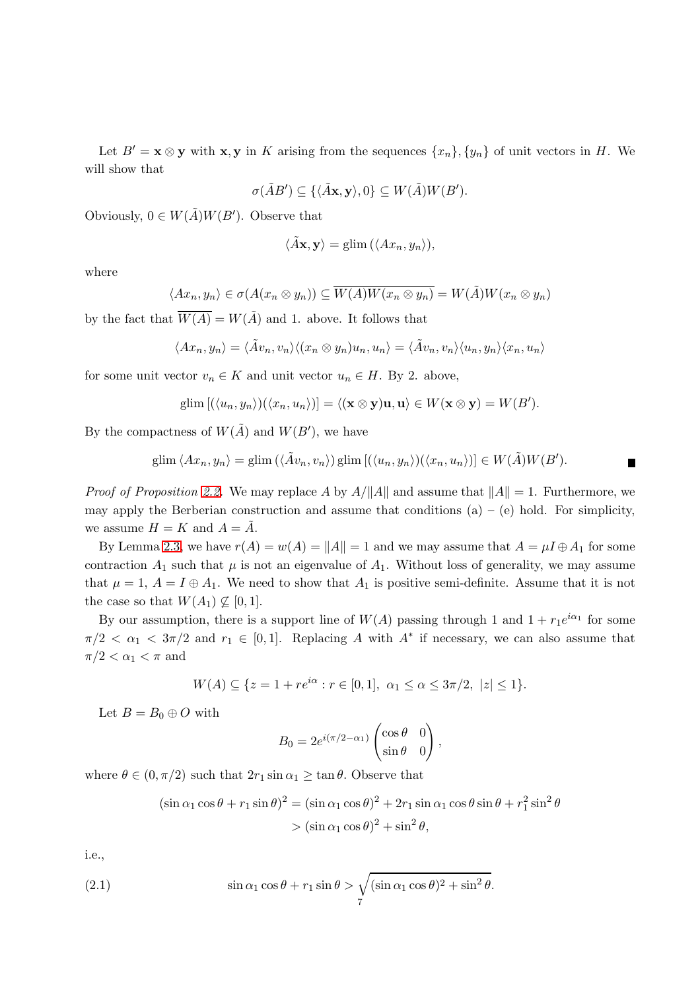Let  $B' = \mathbf{x} \otimes \mathbf{y}$  with  $\mathbf{x}, \mathbf{y}$  in K arising from the sequences  $\{x_n\}, \{y_n\}$  of unit vectors in H. We will show that

$$
\sigma(\tilde{A}B') \subseteq \{ \langle \tilde{A}\mathbf{x}, \mathbf{y} \rangle, 0 \} \subseteq W(\tilde{A})W(B').
$$

Obviously,  $0 \in W(\tilde{A})W(B')$ . Observe that

$$
\langle \tilde{A}\mathbf{x}, \mathbf{y} \rangle = \text{glim}\left( \langle Ax_n, y_n \rangle \right),
$$

where

$$
\langle Ax_n, y_n \rangle \in \sigma(A(x_n \otimes y_n)) \subseteq \overline{W(A)W(x_n \otimes y_n)} = W(\tilde{A})W(x_n \otimes y_n)
$$

by the fact that  $\overline{W(A)} = W(\tilde{A})$  and 1. above. It follows that

$$
\langle Ax_n, y_n \rangle = \langle \tilde{A}v_n, v_n \rangle \langle (x_n \otimes y_n)u_n, u_n \rangle = \langle \tilde{A}v_n, v_n \rangle \langle u_n, y_n \rangle \langle x_n, u_n \rangle
$$

for some unit vector  $v_n \in K$  and unit vector  $u_n \in H$ . By 2. above,

$$
\operatorname{glim}\left[\left(\langle u_n,y_n\rangle\right)\left(\langle x_n,u_n\rangle\right)\right]=\left\langle (\mathbf{x}\otimes\mathbf{y})\mathbf{u},\mathbf{u}\right\rangle \in W(\mathbf{x}\otimes\mathbf{y})=W(B').
$$

By the compactness of  $W(\tilde{A})$  and  $W(B')$ , we have

$$
\mathrm{glim}\,\langle Ax_n,y_n\rangle=\mathrm{glim}\,\big(\langle \tilde A v_n,v_n\rangle\big)\,\mathrm{glim}\,\big[\big(\langle u_n,y_n\rangle\big)\big(\langle x_n,u_n\rangle\big)\big]\in W(\tilde A)W(B').
$$

п

*Proof of Proposition [2.2.](#page-3-0)* We may replace A by  $A/||A||$  and assume that  $||A|| = 1$ . Furthermore, we may apply the Berberian construction and assume that conditions  $(a) - (e)$  hold. For simplicity, we assume  $H = K$  and  $A = \tilde{A}$ .

By Lemma [2.3,](#page-3-1) we have  $r(A) = w(A) = ||A|| = 1$  and we may assume that  $A = \mu I \oplus A_1$  for some contraction  $A_1$  such that  $\mu$  is not an eigenvalue of  $A_1$ . Without loss of generality, we may assume that  $\mu = 1$ ,  $A = I \oplus A_1$ . We need to show that  $A_1$  is positive semi-definite. Assume that it is not the case so that  $W(A_1) \nsubseteq [0, 1]$ .

By our assumption, there is a support line of  $W(A)$  passing through 1 and  $1 + r_1e^{i\alpha_1}$  for some  $\pi/2 < \alpha_1 < 3\pi/2$  and  $r_1 \in [0,1]$ . Replacing A with  $A^*$  if necessary, we can also assume that  $\pi/2 < \alpha_1 < \pi$  and

$$
W(A) \subseteq \{ z = 1 + re^{i\alpha} : r \in [0, 1], \ \alpha_1 \le \alpha \le 3\pi/2, \ |z| \le 1 \}.
$$

Let  $B = B_0 \oplus O$  with

$$
B_0 = 2e^{i(\pi/2 - \alpha_1)} \begin{pmatrix} \cos \theta & 0 \\ \sin \theta & 0 \end{pmatrix},
$$

where  $\theta \in (0, \pi/2)$  such that  $2r_1 \sin \alpha_1 \ge \tan \theta$ . Observe that

<span id="page-6-0"></span>
$$
(\sin \alpha_1 \cos \theta + r_1 \sin \theta)^2 = (\sin \alpha_1 \cos \theta)^2 + 2r_1 \sin \alpha_1 \cos \theta \sin \theta + r_1^2 \sin^2 \theta
$$
  
> 
$$
(\sin \alpha_1 \cos \theta)^2 + \sin^2 \theta,
$$

i.e.,

(2.1) 
$$
\sin \alpha_1 \cos \theta + r_1 \sin \theta > \sqrt{\sin \alpha_1 \cos \theta^2 + \sin^2 \theta}.
$$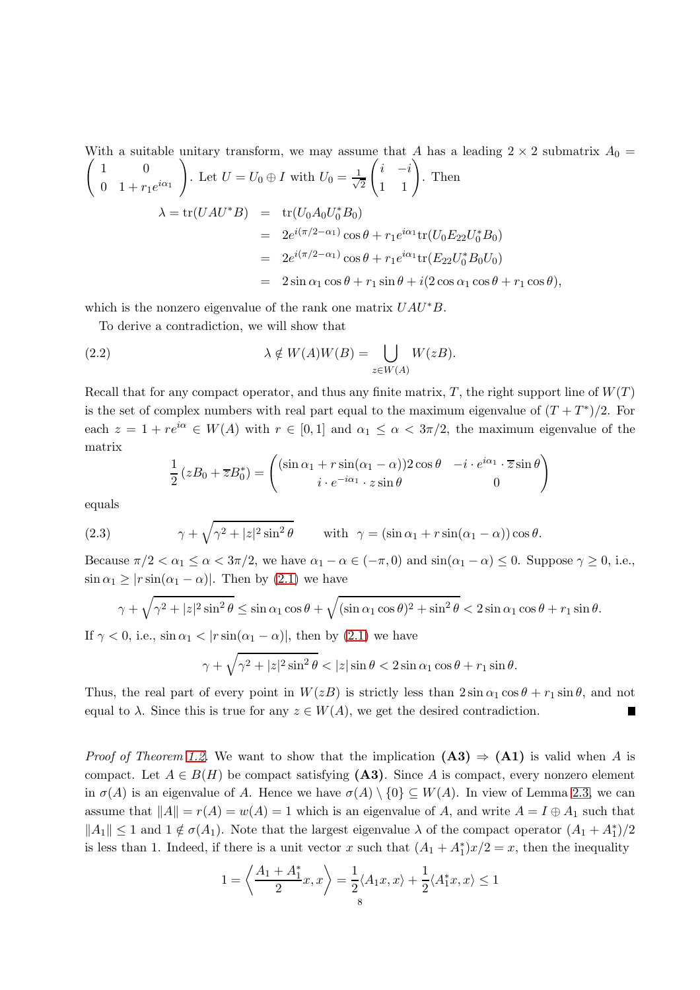With a suitable unitary transform, we may assume that A has a leading  $2 \times 2$  submatrix  $A_0 =$  $\begin{pmatrix} 1 & 0 \\ 0 & 0 \end{pmatrix}$ 0 1 +  $r_1 e^{i\alpha_1}$  $\setminus$ . Let  $U = U_0 \oplus I$  with  $U_0 = \frac{1}{\sqrt{2}}$ 2  $\begin{pmatrix} i & -i \\ 1 & 1 \end{pmatrix}$ . Then  $\lambda = \text{tr}(UAU^*B) = \text{tr}(U_0A_0U_0^*B_0)$ =  $2e^{i(\pi/2-\alpha_1)}\cos\theta + r_1e^{i\alpha_1}\text{tr}(U_0E_{22}U_0^*B_0)$ =  $2e^{i(\pi/2-\alpha_1)}\cos\theta + r_1e^{i\alpha_1}\text{tr}(E_{22}U_0^*B_0U_0)$  $= 2 \sin \alpha_1 \cos \theta + r_1 \sin \theta + i(2 \cos \alpha_1 \cos \theta + r_1 \cos \theta),$ 

which is the nonzero eigenvalue of the rank one matrix  $UAU^*B$ .

To derive a contradiction, we will show that

(2.2) 
$$
\lambda \notin W(A)W(B) = \bigcup_{z \in W(A)} W(zB).
$$

Recall that for any compact operator, and thus any finite matrix,  $T$ , the right support line of  $W(T)$ is the set of complex numbers with real part equal to the maximum eigenvalue of  $(T+T^*)/2$ . For each  $z = 1 + re^{i\alpha} \in W(A)$  with  $r \in [0,1]$  and  $\alpha_1 \leq \alpha < 3\pi/2$ , the maximum eigenvalue of the matrix

$$
\frac{1}{2}(zB_0 + \overline{z}B_0^*) = \begin{pmatrix} (\sin \alpha_1 + r \sin(\alpha_1 - \alpha))2 \cos \theta & -i \cdot e^{i\alpha_1} \cdot \overline{z} \sin \theta \\ i \cdot e^{-i\alpha_1} \cdot z \sin \theta & 0 \end{pmatrix}
$$

equals

(2.3) 
$$
\gamma + \sqrt{\gamma^2 + |z|^2 \sin^2 \theta} \quad \text{with} \quad \gamma = (\sin \alpha_1 + r \sin(\alpha_1 - \alpha)) \cos \theta.
$$

Because  $\pi/2 < \alpha_1 \leq \alpha < 3\pi/2$ , we have  $\alpha_1 - \alpha \in (-\pi, 0)$  and  $\sin(\alpha_1 - \alpha) \leq 0$ . Suppose  $\gamma \geq 0$ , i.e.,  $\sin \alpha_1 \geq |r \sin(\alpha_1 - \alpha)|$ . Then by [\(2.1\)](#page-6-0) we have

$$
\gamma + \sqrt{\gamma^2 + |z|^2 \sin^2 \theta} \le \sin \alpha_1 \cos \theta + \sqrt{(\sin \alpha_1 \cos \theta)^2 + \sin^2 \theta} < 2 \sin \alpha_1 \cos \theta + r_1 \sin \theta.
$$

If  $\gamma < 0$ , i.e.,  $\sin \alpha_1 < |r \sin(\alpha_1 - \alpha)|$ , then by [\(2.1\)](#page-6-0) we have

$$
\gamma + \sqrt{\gamma^2 + |z|^2 \sin^2 \theta} < |z| \sin \theta < 2 \sin \alpha_1 \cos \theta + r_1 \sin \theta.
$$

Thus, the real part of every point in  $W(zB)$  is strictly less than  $2\sin\alpha_1\cos\theta + r_1\sin\theta$ , and not equal to  $\lambda$ . Since this is true for any  $z \in W(A)$ , we get the desired contradiction. П

*Proof of Theorem [1.2.](#page-1-1)* We want to show that the implication  $(A3) \Rightarrow (A1)$  is valid when A is compact. Let  $A \in B(H)$  be compact satisfying (A3). Since A is compact, every nonzero element in  $\sigma(A)$  is an eigenvalue of A. Hence we have  $\sigma(A) \setminus \{0\} \subseteq W(A)$ . In view of Lemma [2.3,](#page-3-1) we can assume that  $||A|| = r(A) = w(A) = 1$  which is an eigenvalue of A, and write  $A = I \oplus A_1$  such that  $||A_1|| \leq 1$  and  $1 \notin \sigma(A_1)$ . Note that the largest eigenvalue  $\lambda$  of the compact operator  $(A_1 + A_1^*)/2$ is less than 1. Indeed, if there is a unit vector x such that  $(A_1 + A_1^*)x/2 = x$ , then the inequality

$$
1 = \left\langle \frac{A_1 + A_1^*}{2} x, x \right\rangle = \frac{1}{2} \langle A_1 x, x \rangle + \frac{1}{2} \langle A_1^* x, x \rangle \le 1
$$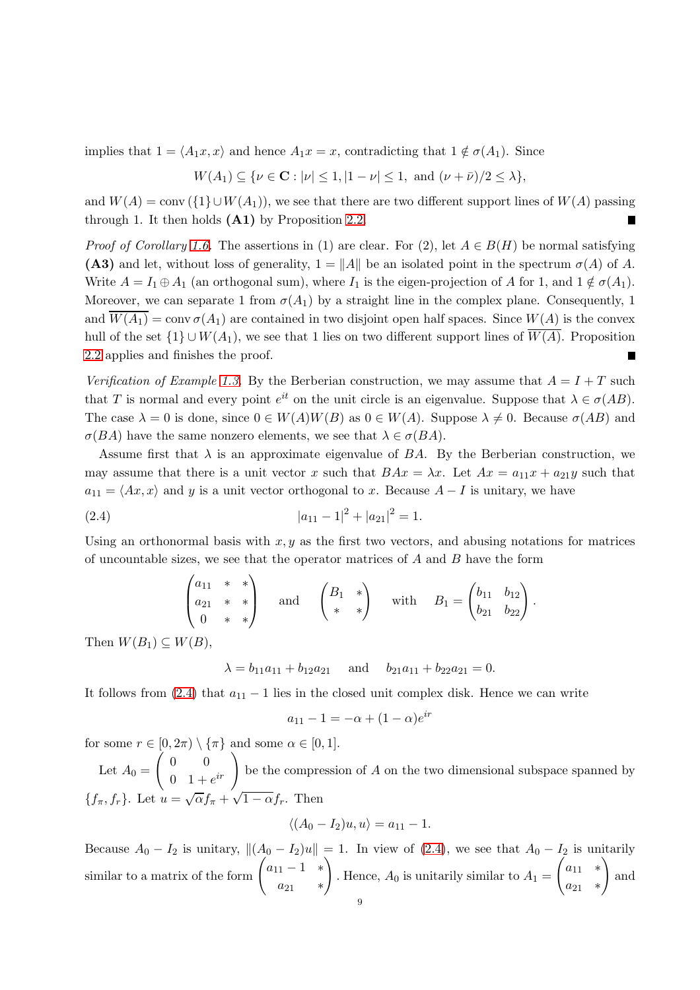implies that  $1 = \langle A_1x, x \rangle$  and hence  $A_1x = x$ , contradicting that  $1 \notin \sigma(A_1)$ . Since

$$
W(A_1) \subseteq \{ \nu \in \mathbf{C} : |\nu| \le 1, |1 - \nu| \le 1, \text{ and } (\nu + \bar{\nu})/2 \le \lambda \},
$$

and  $W(A) = \text{conv}(\{1\} \cup W(A_1)),$  we see that there are two different support lines of  $W(A)$  passing through 1. It then holds  $(A1)$  by Proposition [2.2.](#page-3-0) П

*Proof of Corollary [1.6.](#page-2-3)* The assertions in (1) are clear. For (2), let  $A \in B(H)$  be normal satisfying (A3) and let, without loss of generality,  $1 = ||A||$  be an isolated point in the spectrum  $\sigma(A)$  of A. Write  $A = I_1 \oplus A_1$  (an orthogonal sum), where  $I_1$  is the eigen-projection of A for 1, and  $1 \notin \sigma(A_1)$ . Moreover, we can separate 1 from  $\sigma(A_1)$  by a straight line in the complex plane. Consequently, 1 and  $\overline{W(A_1)} = \text{conv } \sigma(A_1)$  are contained in two disjoint open half spaces. Since  $W(A)$  is the convex hull of the set  $\{1\} \cup W(A_1)$ , we see that 1 lies on two different support lines of  $\overline{W(A)}$ . Proposition [2.2](#page-3-0) applies and finishes the proof.

Verification of Example [1.3.](#page-2-0) By the Berberian construction, we may assume that  $A = I + T$  such that T is normal and every point  $e^{it}$  on the unit circle is an eigenvalue. Suppose that  $\lambda \in \sigma(AB)$ . The case  $\lambda = 0$  is done, since  $0 \in W(A)W(B)$  as  $0 \in W(A)$ . Suppose  $\lambda \neq 0$ . Because  $\sigma(AB)$  and  $\sigma(BA)$  have the same nonzero elements, we see that  $\lambda \in \sigma(BA)$ .

Assume first that  $\lambda$  is an approximate eigenvalue of BA. By the Berberian construction, we may assume that there is a unit vector x such that  $BAx = \lambda x$ . Let  $Ax = a_{11}x + a_{21}y$  such that  $a_{11} = \langle Ax, x \rangle$  and y is a unit vector orthogonal to x. Because  $A - I$  is unitary, we have

<span id="page-8-0"></span>(2.4) 
$$
|a_{11} - 1|^2 + |a_{21}|^2 = 1.
$$

Using an orthonormal basis with  $x, y$  as the first two vectors, and abusing notations for matrices of uncountable sizes, we see that the operator matrices of  $A$  and  $B$  have the form

$$
\begin{pmatrix} a_{11} & * & * \\ a_{21} & * & * \\ 0 & * & * \end{pmatrix} \text{ and } \begin{pmatrix} B_1 & * \\ * & * \end{pmatrix} \text{ with } B_1 = \begin{pmatrix} b_{11} & b_{12} \\ b_{21} & b_{22} \end{pmatrix}.
$$

Then  $W(B_1) \subset W(B)$ ,

$$
\lambda = b_{11}a_{11} + b_{12}a_{21}
$$
 and  $b_{21}a_{11} + b_{22}a_{21} = 0$ .

It follows from [\(2.4\)](#page-8-0) that  $a_{11} - 1$  lies in the closed unit complex disk. Hence we can write

$$
a_{11} - 1 = -\alpha + (1 - \alpha)e^{ir}
$$

for some  $r \in [0, 2\pi) \setminus {\{\pi\}}$  and some  $\alpha \in [0, 1]$ .

Let  $A_0 =$  $\begin{pmatrix} 0 & 0 \\ 0 & 0 \end{pmatrix}$  $\begin{pmatrix} 0 & 0 \\ 0 & 1+e^{ir} \end{pmatrix}$  be the compression of A on the two dimensional subspace spanned by  ${f_{\pi}, f_{r}}$ . Let  $u = \sqrt{\alpha} f_{\pi} + \sqrt{1 - \alpha} f_{r}$ . Then  $\sqrt{\alpha}f + \sqrt{\alpha}$ 

$$
\langle (A_0 - I_2)u, u \rangle = a_{11} - 1.
$$

Because  $A_0 - I_2$  is unitary,  $\|(A_0 - I_2)u\| = 1$ . In view of [\(2.4\)](#page-8-0), we see that  $A_0 - I_2$  is unitarily similar to a matrix of the form  $\begin{pmatrix} a_{11} - 1 & * \end{pmatrix}$  $a_{21}$  \*  $\setminus$ . Hence,  $A_0$  is unitarily similar to  $A_1 =$  $\begin{pmatrix} a_{11} & * \end{pmatrix}$  $a_{21}$  \*  $\setminus$ and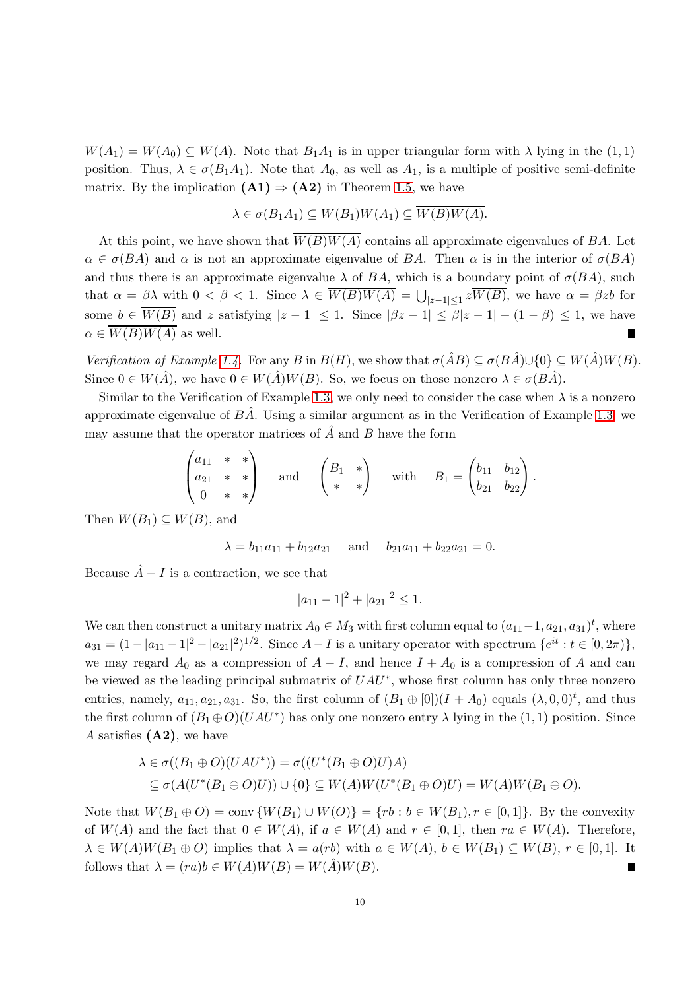$W(A_1) = W(A_0) \subseteq W(A)$ . Note that  $B_1A_1$  is in upper triangular form with  $\lambda$  lying in the  $(1,1)$ position. Thus,  $\lambda \in \sigma(B_1A_1)$ . Note that  $A_0$ , as well as  $A_1$ , is a multiple of positive semi-definite matrix. By the implication  $(A1) \Rightarrow (A2)$  in Theorem [1.5,](#page-2-2) we have

$$
\lambda \in \sigma(B_1A_1) \subseteq W(B_1)W(A_1) \subseteq W(B)W(A).
$$

At this point, we have shown that  $W(B)W(A)$  contains all approximate eigenvalues of BA. Let  $\alpha \in \sigma(BA)$  and  $\alpha$  is not an approximate eigenvalue of BA. Then  $\alpha$  is in the interior of  $\sigma(BA)$ and thus there is an approximate eigenvalue  $\lambda$  of BA, which is a boundary point of  $\sigma(BA)$ , such that  $\alpha = \beta \lambda$  with  $0 < \beta < 1$ . Since  $\lambda \in W(B)W(A) = \bigcup_{|z-1| \leq 1} zW(B)$ , we have  $\alpha = \beta zb$  for some  $b \in \overline{W(B)}$  and z satisfying  $|z - 1| \leq 1$ . Since  $|\beta z - 1| \leq \beta |z - 1| + (1 - \beta) \leq 1$ , we have  $\alpha \in \overline{W(B)W(A)}$  as well.

Verification of Example [1.4.](#page-2-1) For any B in  $B(H)$ , we show that  $\sigma(\hat{A}B) \subseteq \sigma(B\hat{A}) \cup \{0\} \subseteq W(\hat{A})W(B)$ . Since  $0 \in W(\hat{A})$ , we have  $0 \in W(\hat{A})W(B)$ . So, we focus on those nonzero  $\lambda \in \sigma(B\hat{A})$ .

Similar to the Verification of Example [1.3,](#page-2-0) we only need to consider the case when  $\lambda$  is a nonzero approximate eigenvalue of  $BA$ . Using a similar argument as in the Verification of Example [1.3,](#page-2-0) we may assume that the operator matrices of  $\hat{A}$  and  $B$  have the form

$$
\begin{pmatrix} a_{11} & * & * \\ a_{21} & * & * \\ 0 & * & * \end{pmatrix} \text{ and } \begin{pmatrix} B_1 & * \\ * & * \end{pmatrix} \text{ with } B_1 = \begin{pmatrix} b_{11} & b_{12} \\ b_{21} & b_{22} \end{pmatrix}.
$$

Then  $W(B_1) \subseteq W(B)$ , and

 $\lambda = b_{11}a_{11} + b_{12}a_{21}$  and  $b_{21}a_{11} + b_{22}a_{21} = 0.$ 

Because  $\hat{A} - I$  is a contraction, we see that

$$
|a_{11} - 1|^2 + |a_{21}|^2 \le 1.
$$

We can then construct a unitary matrix  $A_0 \in M_3$  with first column equal to  $(a_{11}-1, a_{21}, a_{31})^t$ , where  $a_{31} = (1 - |a_{11} - 1|^2 - |a_{21}|^2)^{1/2}$ . Since  $A - I$  is a unitary operator with spectrum  $\{e^{it} : t \in [0, 2\pi)\},$ we may regard  $A_0$  as a compression of  $A - I$ , and hence  $I + A_0$  is a compression of A and can be viewed as the leading principal submatrix of  $UAU^*$ , whose first column has only three nonzero entries, namely,  $a_{11}, a_{21}, a_{31}$ . So, the first column of  $(B_1 \oplus [0])(I + A_0)$  equals  $(\lambda, 0, 0)^t$ , and thus the first column of  $(B_1 \oplus O)(UAU^*)$  has only one nonzero entry  $\lambda$  lying in the  $(1,1)$  position. Since A satisfies  $(A2)$ , we have

$$
\lambda \in \sigma((B_1 \oplus O)(UAU^*)) = \sigma((U^*(B_1 \oplus O)U)A)
$$
  
\n
$$
\subseteq \sigma(A(U^*(B_1 \oplus O)U)) \cup \{0\} \subseteq W(A)W(U^*(B_1 \oplus O)U) = W(A)W(B_1 \oplus O).
$$

Note that  $W(B_1 \oplus O) = \text{conv } \{W(B_1) \cup W(O)\} = \{rb : b \in W(B_1), r \in [0,1]\}.$  By the convexity of  $W(A)$  and the fact that  $0 \in W(A)$ , if  $a \in W(A)$  and  $r \in [0,1]$ , then  $ra \in W(A)$ . Therefore,  $\lambda \in W(A)W(B_1 \oplus O)$  implies that  $\lambda = a(rb)$  with  $a \in W(A), b \in W(B_1) \subseteq W(B), r \in [0,1]$ . It follows that  $\lambda = (ra)b \in W(A)W(B) = W(A)W(B)$ . П